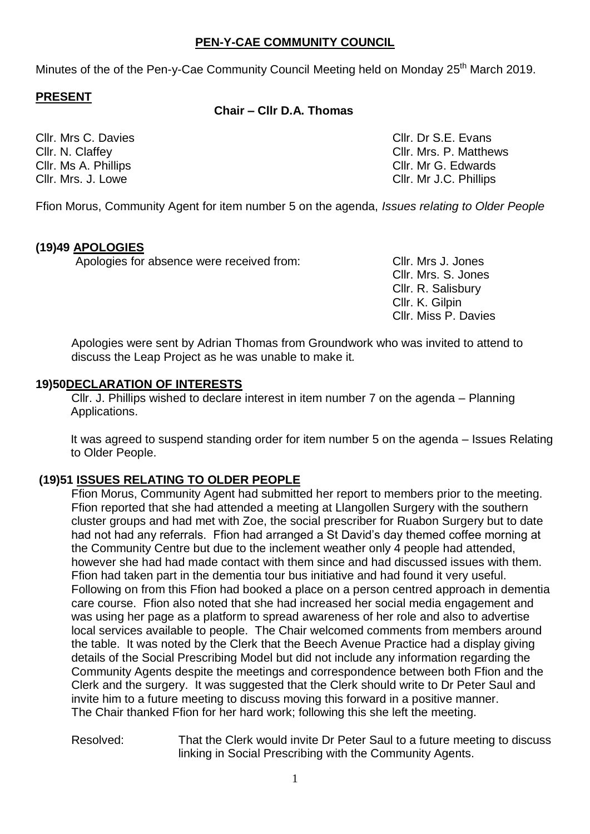### **PEN-Y-CAE COMMUNITY COUNCIL**

Minutes of the of the Pen-y-Cae Community Council Meeting held on Monday 25<sup>th</sup> March 2019.

### **PRESENT**

#### **Chair – Cllr D.A. Thomas**

Cllr. Mrs C. Davies Clientes Clientes Clientes Clientes Clientes Clientes Clientes Clientes Clientes Clientes Cllr. N. Claffey Cllr. Mrs. P. Matthews Cllr. Ms A. Phillips Cllr. Mr G. Edwards Cllr. Mrs. J. Lowe Cllr. Mr J.C. Phillips

Ffion Morus, Community Agent for item number 5 on the agenda, *Issues relating to Older People*

### **(19)49 APOLOGIES**

Apologies for absence were received from: Cllr. Mrs J. Jones

Cllr. Mrs. S. Jones Cllr. R. Salisbury Cllr. K. Gilpin Cllr. Miss P. Davies

Apologies were sent by Adrian Thomas from Groundwork who was invited to attend to discuss the Leap Project as he was unable to make it*.* 

#### **19)50DECLARATION OF INTERESTS**

Cllr. J. Phillips wished to declare interest in item number 7 on the agenda – Planning Applications.

It was agreed to suspend standing order for item number 5 on the agenda – Issues Relating to Older People.

## **(19)51 ISSUES RELATING TO OLDER PEOPLE**

Ffion Morus, Community Agent had submitted her report to members prior to the meeting. Ffion reported that she had attended a meeting at Llangollen Surgery with the southern cluster groups and had met with Zoe, the social prescriber for Ruabon Surgery but to date had not had any referrals. Ffion had arranged a St David's day themed coffee morning at the Community Centre but due to the inclement weather only 4 people had attended, however she had had made contact with them since and had discussed issues with them. Ffion had taken part in the dementia tour bus initiative and had found it very useful. Following on from this Ffion had booked a place on a person centred approach in dementia care course. Ffion also noted that she had increased her social media engagement and was using her page as a platform to spread awareness of her role and also to advertise local services available to people. The Chair welcomed comments from members around the table. It was noted by the Clerk that the Beech Avenue Practice had a display giving details of the Social Prescribing Model but did not include any information regarding the Community Agents despite the meetings and correspondence between both Ffion and the Clerk and the surgery. It was suggested that the Clerk should write to Dr Peter Saul and invite him to a future meeting to discuss moving this forward in a positive manner. The Chair thanked Ffion for her hard work; following this she left the meeting.

Resolved: That the Clerk would invite Dr Peter Saul to a future meeting to discuss linking in Social Prescribing with the Community Agents.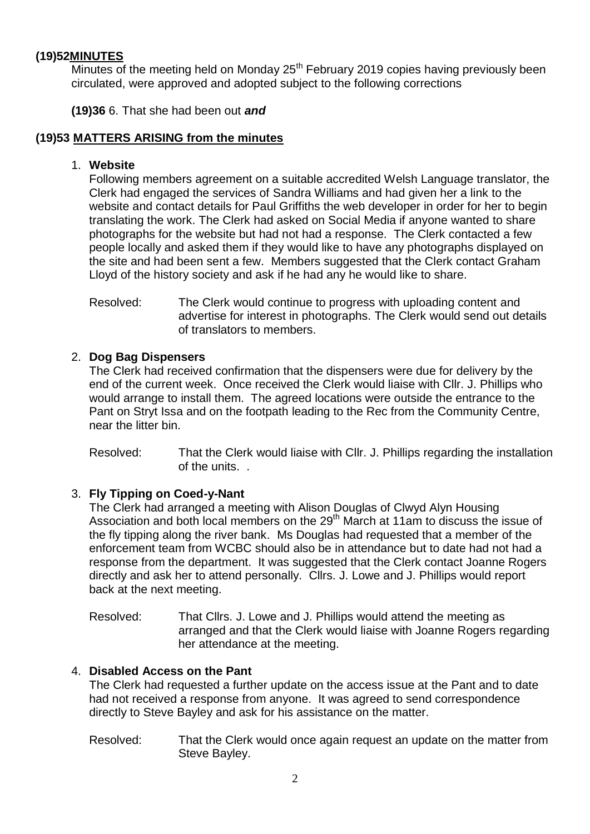## **(19)52MINUTES**

 $\overline{\text{Minutes of}}$  the meeting held on Monday 25<sup>th</sup> February 2019 copies having previously been circulated, were approved and adopted subject to the following corrections

**(19)36** 6. That she had been out *and*

## **(19)53 MATTERS ARISING from the minutes**

#### 1. **Website**

Following members agreement on a suitable accredited Welsh Language translator, the Clerk had engaged the services of Sandra Williams and had given her a link to the website and contact details for Paul Griffiths the web developer in order for her to begin translating the work. The Clerk had asked on Social Media if anyone wanted to share photographs for the website but had not had a response. The Clerk contacted a few people locally and asked them if they would like to have any photographs displayed on the site and had been sent a few. Members suggested that the Clerk contact Graham Lloyd of the history society and ask if he had any he would like to share.

Resolved: The Clerk would continue to progress with uploading content and advertise for interest in photographs. The Clerk would send out details of translators to members.

### 2. **Dog Bag Dispensers**

The Clerk had received confirmation that the dispensers were due for delivery by the end of the current week. Once received the Clerk would liaise with Cllr. J. Phillips who would arrange to install them. The agreed locations were outside the entrance to the Pant on Stryt Issa and on the footpath leading to the Rec from the Community Centre, near the litter bin.

Resolved: That the Clerk would liaise with Cllr. J. Phillips regarding the installation of the units. .

## 3. **Fly Tipping on Coed-y-Nant**

The Clerk had arranged a meeting with Alison Douglas of Clwyd Alyn Housing Association and both local members on the 29th March at 11am to discuss the issue of the fly tipping along the river bank. Ms Douglas had requested that a member of the enforcement team from WCBC should also be in attendance but to date had not had a response from the department. It was suggested that the Clerk contact Joanne Rogers directly and ask her to attend personally. Cllrs. J. Lowe and J. Phillips would report back at the next meeting.

Resolved: That Cllrs. J. Lowe and J. Phillips would attend the meeting as arranged and that the Clerk would liaise with Joanne Rogers regarding her attendance at the meeting.

#### 4. **Disabled Access on the Pant**

The Clerk had requested a further update on the access issue at the Pant and to date had not received a response from anyone. It was agreed to send correspondence directly to Steve Bayley and ask for his assistance on the matter.

Resolved: That the Clerk would once again request an update on the matter from Steve Bayley.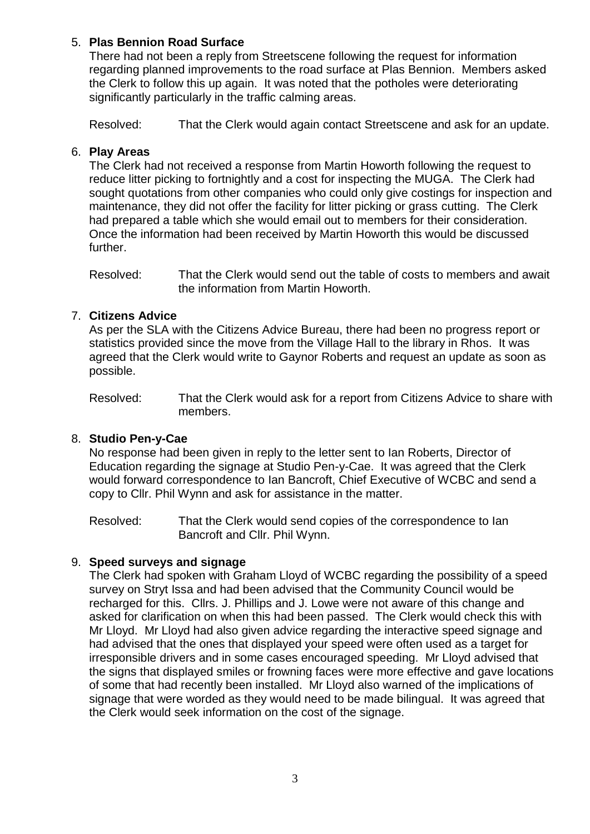### 5. **Plas Bennion Road Surface**

There had not been a reply from Streetscene following the request for information regarding planned improvements to the road surface at Plas Bennion. Members asked the Clerk to follow this up again. It was noted that the potholes were deteriorating significantly particularly in the traffic calming areas.

Resolved: That the Clerk would again contact Streetscene and ask for an update.

### 6. **Play Areas**

The Clerk had not received a response from Martin Howorth following the request to reduce litter picking to fortnightly and a cost for inspecting the MUGA. The Clerk had sought quotations from other companies who could only give costings for inspection and maintenance, they did not offer the facility for litter picking or grass cutting. The Clerk had prepared a table which she would email out to members for their consideration. Once the information had been received by Martin Howorth this would be discussed further.

Resolved: That the Clerk would send out the table of costs to members and await the information from Martin Howorth.

### 7. **Citizens Advice**

As per the SLA with the Citizens Advice Bureau, there had been no progress report or statistics provided since the move from the Village Hall to the library in Rhos. It was agreed that the Clerk would write to Gaynor Roberts and request an update as soon as possible.

Resolved: That the Clerk would ask for a report from Citizens Advice to share with members.

#### 8. **Studio Pen-y-Cae**

No response had been given in reply to the letter sent to Ian Roberts, Director of Education regarding the signage at Studio Pen-y-Cae. It was agreed that the Clerk would forward correspondence to Ian Bancroft, Chief Executive of WCBC and send a copy to Cllr. Phil Wynn and ask for assistance in the matter.

Resolved: That the Clerk would send copies of the correspondence to Ian Bancroft and Cllr. Phil Wynn.

#### 9. **Speed surveys and signage**

The Clerk had spoken with Graham Lloyd of WCBC regarding the possibility of a speed survey on Stryt Issa and had been advised that the Community Council would be recharged for this. Cllrs. J. Phillips and J. Lowe were not aware of this change and asked for clarification on when this had been passed. The Clerk would check this with Mr Lloyd. Mr Lloyd had also given advice regarding the interactive speed signage and had advised that the ones that displayed your speed were often used as a target for irresponsible drivers and in some cases encouraged speeding. Mr Lloyd advised that the signs that displayed smiles or frowning faces were more effective and gave locations of some that had recently been installed. Mr Lloyd also warned of the implications of signage that were worded as they would need to be made bilingual. It was agreed that the Clerk would seek information on the cost of the signage.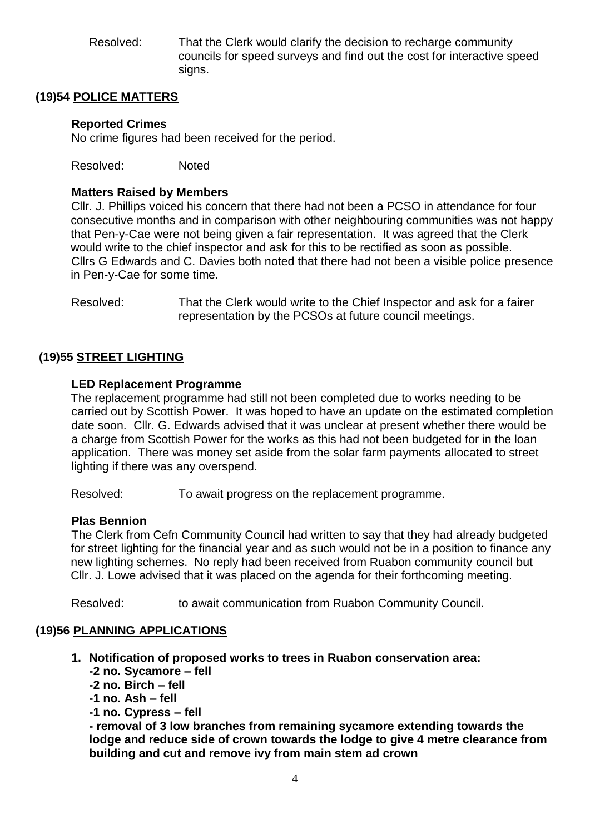Resolved: That the Clerk would clarify the decision to recharge community councils for speed surveys and find out the cost for interactive speed signs.

## **(19)54 POLICE MATTERS**

### **Reported Crimes**

No crime figures had been received for the period.

Resolved: Noted

### **Matters Raised by Members**

Cllr. J. Phillips voiced his concern that there had not been a PCSO in attendance for four consecutive months and in comparison with other neighbouring communities was not happy that Pen-y-Cae were not being given a fair representation. It was agreed that the Clerk would write to the chief inspector and ask for this to be rectified as soon as possible. Cllrs G Edwards and C. Davies both noted that there had not been a visible police presence in Pen-y-Cae for some time.

Resolved: That the Clerk would write to the Chief Inspector and ask for a fairer representation by the PCSOs at future council meetings.

### **(19)55 STREET LIGHTING**

#### **LED Replacement Programme**

The replacement programme had still not been completed due to works needing to be carried out by Scottish Power. It was hoped to have an update on the estimated completion date soon. Cllr. G. Edwards advised that it was unclear at present whether there would be a charge from Scottish Power for the works as this had not been budgeted for in the loan application. There was money set aside from the solar farm payments allocated to street lighting if there was any overspend.

Resolved: To await progress on the replacement programme.

#### **Plas Bennion**

The Clerk from Cefn Community Council had written to say that they had already budgeted for street lighting for the financial year and as such would not be in a position to finance any new lighting schemes. No reply had been received from Ruabon community council but Cllr. J. Lowe advised that it was placed on the agenda for their forthcoming meeting.

Resolved: to await communication from Ruabon Community Council.

## **(19)56 PLANNING APPLICATIONS**

- **1. Notification of proposed works to trees in Ruabon conservation area:**
	- **-2 no. Sycamore – fell**
	- **-2 no. Birch – fell**
	- **-1 no. Ash – fell**
	- **-1 no. Cypress – fell**

**- removal of 3 low branches from remaining sycamore extending towards the lodge and reduce side of crown towards the lodge to give 4 metre clearance from building and cut and remove ivy from main stem ad crown**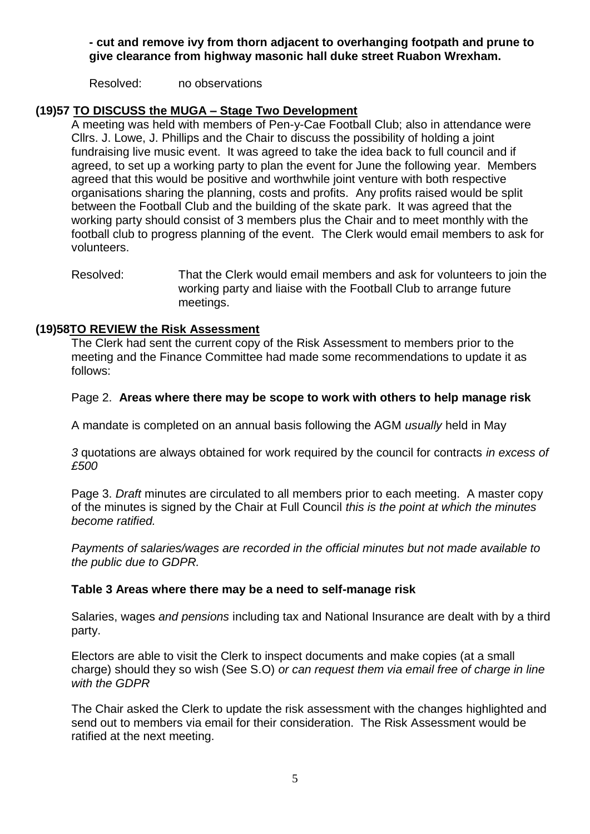### **- cut and remove ivy from thorn adjacent to overhanging footpath and prune to give clearance from highway masonic hall duke street Ruabon Wrexham.**

Resolved: no observations

### **(19)57 TO DISCUSS the MUGA – Stage Two Development**

A meeting was held with members of Pen-y-Cae Football Club; also in attendance were Cllrs. J. Lowe, J. Phillips and the Chair to discuss the possibility of holding a joint fundraising live music event. It was agreed to take the idea back to full council and if agreed, to set up a working party to plan the event for June the following year. Members agreed that this would be positive and worthwhile joint venture with both respective organisations sharing the planning, costs and profits. Any profits raised would be split between the Football Club and the building of the skate park. It was agreed that the working party should consist of 3 members plus the Chair and to meet monthly with the football club to progress planning of the event. The Clerk would email members to ask for volunteers.

Resolved: That the Clerk would email members and ask for volunteers to join the working party and liaise with the Football Club to arrange future meetings.

### **(19)58TO REVIEW the Risk Assessment**

The Clerk had sent the current copy of the Risk Assessment to members prior to the meeting and the Finance Committee had made some recommendations to update it as follows:

#### Page 2. **Areas where there may be scope to work with others to help manage risk**

A mandate is completed on an annual basis following the AGM *usually* held in May

*3* quotations are always obtained for work required by the council for contracts *in excess of £500*

Page 3. *Draft* minutes are circulated to all members prior to each meeting. A master copy of the minutes is signed by the Chair at Full Council *this is the point at which the minutes become ratified.* 

*Payments of salaries/wages are recorded in the official minutes but not made available to the public due to GDPR.*

#### **Table 3 Areas where there may be a need to self-manage risk**

Salaries, wages *and pensions* including tax and National Insurance are dealt with by a third party.

Electors are able to visit the Clerk to inspect documents and make copies (at a small charge) should they so wish (See S.O) *or can request them via email free of charge in line with the GDPR*

The Chair asked the Clerk to update the risk assessment with the changes highlighted and send out to members via email for their consideration. The Risk Assessment would be ratified at the next meeting.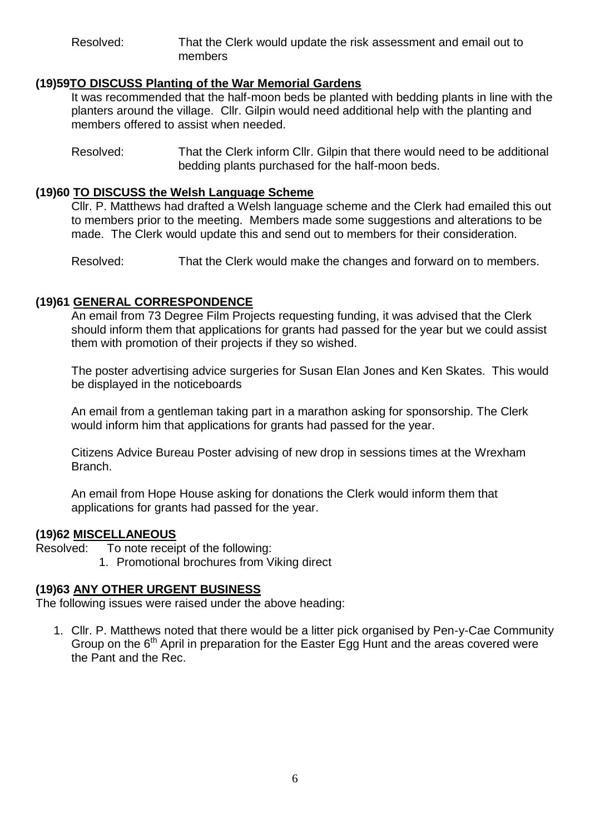Resolved: That the Clerk would update the risk assessment and email out to members

### **(19)59TO DISCUSS Planting of the War Memorial Gardens**

It was recommended that the half-moon beds be planted with bedding plants in line with the planters around the village. Cllr. Gilpin would need additional help with the planting and members offered to assist when needed.

Resolved: That the Clerk inform Cllr. Gilpin that there would need to be additional bedding plants purchased for the half-moon beds.

### **(19)60 TO DISCUSS the Welsh Language Scheme**

Cllr. P. Matthews had drafted a Welsh language scheme and the Clerk had emailed this out to members prior to the meeting. Members made some suggestions and alterations to be made. The Clerk would update this and send out to members for their consideration.

Resolved: That the Clerk would make the changes and forward on to members.

## **(19)61 GENERAL CORRESPONDENCE**

An email from 73 Degree Film Projects requesting funding, it was advised that the Clerk should inform them that applications for grants had passed for the year but we could assist them with promotion of their projects if they so wished.

The poster advertising advice surgeries for Susan Elan Jones and Ken Skates. This would be displayed in the noticeboards

An email from a gentleman taking part in a marathon asking for sponsorship. The Clerk would inform him that applications for grants had passed for the year.

Citizens Advice Bureau Poster advising of new drop in sessions times at the Wrexham Branch.

An email from Hope House asking for donations the Clerk would inform them that applications for grants had passed for the year.

#### **(19)62 MISCELLANEOUS**

- Resolved: To note receipt of the following:
	- 1. Promotional brochures from Viking direct

#### **(19)63 ANY OTHER URGENT BUSINESS**

The following issues were raised under the above heading:

1. Cllr. P. Matthews noted that there would be a litter pick organised by Pen-y-Cae Community Group on the  $6<sup>th</sup>$  April in preparation for the Easter Egg Hunt and the areas covered were the Pant and the Rec.